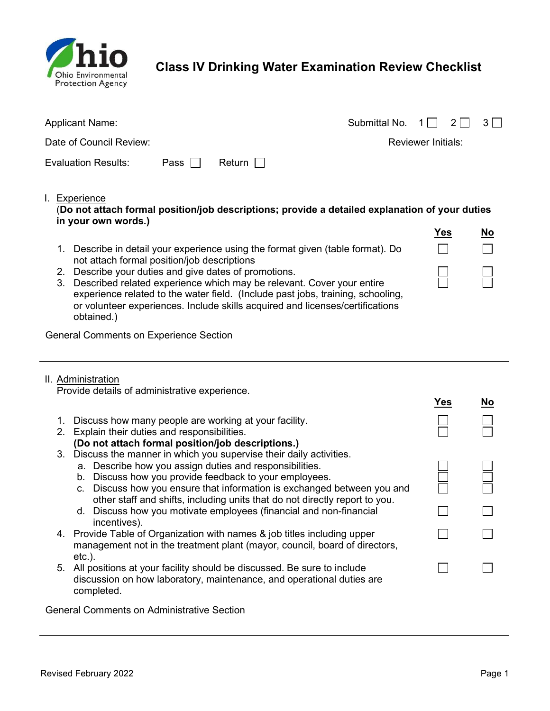

# Class IV Drinking Water Examination Review Checklist

| <b>Applicant Name:</b>     |          |            | Submittal No. $1 \begin{bmatrix} 2 \end{bmatrix}$ 3 |                           |  |
|----------------------------|----------|------------|-----------------------------------------------------|---------------------------|--|
| Date of Council Review:    |          |            |                                                     | <b>Reviewer Initials:</b> |  |
| <b>Evaluation Results:</b> | Pass I I | Return I I |                                                     |                           |  |

I. Experience

# (Do not attach formal position/job descriptions; provide a detailed explanation of your duties in your own words.)

- 1. Describe in detail your experience using the format given (table format). Do not attach formal position/job descriptions
- 2. Describe your duties and give dates of promotions.
- 3. Described related experience which may be relevant. Cover your entire experience related to the water field. (Include past jobs, training, schooling, or volunteer experiences. Include skills acquired and licenses/certifications obtained.)

| <b>Yes</b> | <b>No</b> |
|------------|-----------|
|            |           |
|            |           |

General Comments on Experience Section

#### II. Administration

Provide details of administrative experience.

|             |                                                                                                                                                                                                                                                                                                                                                     | Yes | No |
|-------------|-----------------------------------------------------------------------------------------------------------------------------------------------------------------------------------------------------------------------------------------------------------------------------------------------------------------------------------------------------|-----|----|
| $2_{\cdot}$ | Discuss how many people are working at your facility.<br>Explain their duties and responsibilities.<br>(Do not attach formal position/job descriptions.)                                                                                                                                                                                            |     |    |
|             | 3. Discuss the manner in which you supervise their daily activities.<br>a. Describe how you assign duties and responsibilities.<br>b. Discuss how you provide feedback to your employees.<br>c. Discuss how you ensure that information is exchanged between you and<br>other staff and shifts, including units that do not directly report to you. |     |    |
|             | d. Discuss how you motivate employees (financial and non-financial<br>incentives).                                                                                                                                                                                                                                                                  |     |    |
|             | 4. Provide Table of Organization with names & job titles including upper<br>management not in the treatment plant (mayor, council, board of directors,<br>$etc.$ ).                                                                                                                                                                                 |     |    |
|             | 5. All positions at your facility should be discussed. Be sure to include<br>discussion on how laboratory, maintenance, and operational duties are<br>completed.                                                                                                                                                                                    |     |    |

General Comments on Administrative Section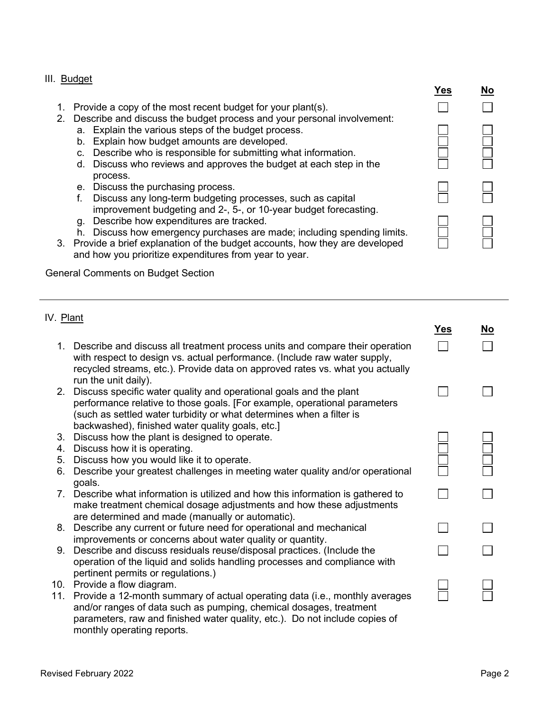# III. Budget

|    |                                                                                                                                                                                                                                                                       | Yes |  |
|----|-----------------------------------------------------------------------------------------------------------------------------------------------------------------------------------------------------------------------------------------------------------------------|-----|--|
| 1. | Provide a copy of the most recent budget for your plant(s).<br>2. Describe and discuss the budget process and your personal involvement:                                                                                                                              |     |  |
|    | a. Explain the various steps of the budget process.<br>b. Explain how budget amounts are developed.<br>c. Describe who is responsible for submitting what information.<br>d. Discuss who reviews and approves the budget at each step in the<br>process.              |     |  |
|    | e. Discuss the purchasing process.<br>Discuss any long-term budgeting processes, such as capital<br>improvement budgeting and 2-, 5-, or 10-year budget forecasting.                                                                                                  |     |  |
|    | Describe how expenditures are tracked.<br>q.<br>Discuss how emergency purchases are made; including spending limits.<br>h.<br>3. Provide a brief explanation of the budget accounts, how they are developed<br>and how you prioritize expenditures from year to year. |     |  |

General Comments on Budget Section

| IV. Plant |                                                                                                                                                                                                                                                                             |            |           |
|-----------|-----------------------------------------------------------------------------------------------------------------------------------------------------------------------------------------------------------------------------------------------------------------------------|------------|-----------|
|           |                                                                                                                                                                                                                                                                             | <u>Yes</u> | <b>No</b> |
| 1.        | Describe and discuss all treatment process units and compare their operation<br>with respect to design vs. actual performance. (Include raw water supply,<br>recycled streams, etc.). Provide data on approved rates vs. what you actually<br>run the unit daily).          |            |           |
| 2.        | Discuss specific water quality and operational goals and the plant<br>performance relative to those goals. [For example, operational parameters<br>(such as settled water turbidity or what determines when a filter is<br>backwashed), finished water quality goals, etc.] |            |           |
| 3.        | Discuss how the plant is designed to operate.                                                                                                                                                                                                                               |            |           |
| 4.        | Discuss how it is operating.                                                                                                                                                                                                                                                |            |           |
| 5.        | Discuss how you would like it to operate.                                                                                                                                                                                                                                   |            |           |
| 6.        | Describe your greatest challenges in meeting water quality and/or operational                                                                                                                                                                                               |            |           |
|           | goals.                                                                                                                                                                                                                                                                      |            |           |
|           | 7. Describe what information is utilized and how this information is gathered to<br>make treatment chemical dosage adjustments and how these adjustments<br>are determined and made (manually or automatic).                                                                |            |           |
| 8.        | Describe any current or future need for operational and mechanical                                                                                                                                                                                                          |            |           |
|           | improvements or concerns about water quality or quantity.                                                                                                                                                                                                                   |            |           |
| 9.        | Describe and discuss residuals reuse/disposal practices. (Include the<br>operation of the liquid and solids handling processes and compliance with                                                                                                                          |            |           |
|           | pertinent permits or regulations.)                                                                                                                                                                                                                                          |            |           |
|           | 10. Provide a flow diagram.<br>11. Provide a 12-month summary of actual operating data (i.e., monthly averages                                                                                                                                                              |            |           |
|           | and/or ranges of data such as pumping, chemical dosages, treatment<br>parameters, raw and finished water quality, etc.). Do not include copies of<br>monthly operating reports.                                                                                             |            |           |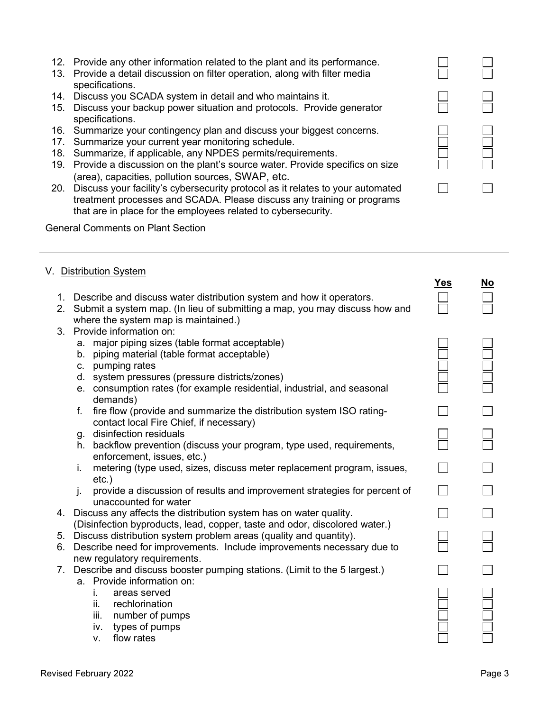- 13. Provide a detail discussion on filter operation, along with filter media specifications.
- 14. Discuss you SCADA system in detail and who maintains it.
- 15. Discuss your backup power situation and protocols. Provide generator specifications.
- 16. Summarize your contingency plan and discuss your biggest concerns.
- 17. Summarize your current year monitoring schedule.
- 18. Summarize, if applicable, any NPDES permits/requirements.
- 19. Provide a discussion on the plant's source water. Provide specifics on size (area), capacities, pollution sources, SWAP, etc.
- 20. Discuss your facility's cybersecurity protocol as it relates to your automated treatment processes and SCADA. Please discuss any training or programs that are in place for the employees related to cybersecurity.

General Comments on Plant Section

# V. Distribution System

|             |                                                                                                                                                    | Yes | <u>No</u> |
|-------------|----------------------------------------------------------------------------------------------------------------------------------------------------|-----|-----------|
| 1.<br>2.    | Describe and discuss water distribution system and how it operators.<br>Submit a system map. (In lieu of submitting a map, you may discuss how and |     |           |
|             | where the system map is maintained.)                                                                                                               |     |           |
| 3.          | Provide information on:                                                                                                                            |     |           |
|             | a. major piping sizes (table format acceptable)                                                                                                    |     |           |
|             | b. piping material (table format acceptable)                                                                                                       |     |           |
|             | c. pumping rates<br>d. system pressures (pressure districts/zones)                                                                                 |     |           |
|             | e. consumption rates (for example residential, industrial, and seasonal                                                                            |     |           |
|             | demands)                                                                                                                                           |     |           |
|             | fire flow (provide and summarize the distribution system ISO rating-<br>f.                                                                         |     |           |
|             | contact local Fire Chief, if necessary)                                                                                                            |     |           |
|             | g. disinfection residuals                                                                                                                          |     |           |
|             | h. backflow prevention (discuss your program, type used, requirements,                                                                             |     |           |
|             | enforcement, issues, etc.)                                                                                                                         |     |           |
|             | metering (type used, sizes, discuss meter replacement program, issues,<br>i.                                                                       |     |           |
|             | $etc.$ )                                                                                                                                           |     |           |
|             | provide a discussion of results and improvement strategies for percent of<br>i.<br>unaccounted for water                                           |     |           |
| 4.          | Discuss any affects the distribution system has on water quality.                                                                                  |     |           |
|             | (Disinfection byproducts, lead, copper, taste and odor, discolored water.)                                                                         |     |           |
| 5.          | Discuss distribution system problem areas (quality and quantity).                                                                                  |     |           |
| 6.          | Describe need for improvements. Include improvements necessary due to                                                                              |     |           |
|             | new regulatory requirements.                                                                                                                       |     |           |
| $7_{\cdot}$ | Describe and discuss booster pumping stations. (Limit to the 5 largest.)                                                                           |     |           |
|             | a. Provide information on:                                                                                                                         |     |           |
|             | areas served<br>İ.                                                                                                                                 |     |           |
|             | rechlorination<br>ii.                                                                                                                              |     |           |
|             | iii.<br>number of pumps                                                                                                                            |     |           |
|             | types of pumps<br>iv.                                                                                                                              |     |           |
|             | flow rates<br>V.                                                                                                                                   |     |           |

 $\Box$ 

 $\Box$ 

 $\Box$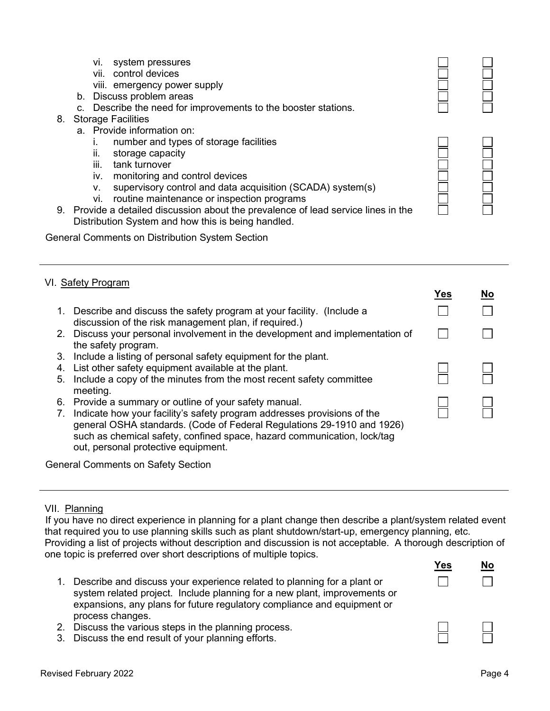| 8. | system pressures<br>VI.<br>control devices<br>vii. -<br>viii. emergency power supply<br>Discuss problem areas<br>b.<br>c. Describe the need for improvements to the booster stations.<br><b>Storage Facilities</b>                                                                        |  |
|----|-------------------------------------------------------------------------------------------------------------------------------------------------------------------------------------------------------------------------------------------------------------------------------------------|--|
|    | a. Provide information on:<br>number and types of storage facilities<br>storage capacity<br>Ш.<br>iii.<br>tank turnover<br>monitoring and control devices<br>İV.<br>supervisory control and data acquisition (SCADA) system(s)<br>ν.<br>routine maintenance or inspection programs<br>vi. |  |
|    | 9. Provide a detailed discussion about the prevalence of lead service lines in the                                                                                                                                                                                                        |  |

Distribution System and how this is being handled.

General Comments on Distribution System Section

# VI. Safety Program

|                                |                                                                                                                                                                                                                                                                     | Yes | No |
|--------------------------------|---------------------------------------------------------------------------------------------------------------------------------------------------------------------------------------------------------------------------------------------------------------------|-----|----|
|                                | 1. Describe and discuss the safety program at your facility. (Include a<br>discussion of the risk management plan, if required.)                                                                                                                                    |     |    |
|                                | 2. Discuss your personal involvement in the development and implementation of<br>the safety program.                                                                                                                                                                |     |    |
| 3.                             | Include a listing of personal safety equipment for the plant.                                                                                                                                                                                                       |     |    |
|                                | 4. List other safety equipment available at the plant.                                                                                                                                                                                                              |     |    |
| 5.                             | Include a copy of the minutes from the most recent safety committee<br>meeting.                                                                                                                                                                                     |     |    |
|                                | 6. Provide a summary or outline of your safety manual.                                                                                                                                                                                                              |     |    |
| $7_{\scriptscriptstyle{\sim}}$ | Indicate how your facility's safety program addresses provisions of the<br>general OSHA standards. (Code of Federal Regulations 29-1910 and 1926)<br>such as chemical safety, confined space, hazard communication, lock/tag<br>out, personal protective equipment. |     |    |
|                                |                                                                                                                                                                                                                                                                     |     |    |

General Comments on Safety Section

#### VII. Planning

If you have no direct experience in planning for a plant change then describe a plant/system related event that required you to use planning skills such as plant shutdown/start-up, emergency planning, etc. Providing a list of projects without description and discussion is not acceptable. A thorough description of one topic is preferred over short descriptions of multiple topics.

- 1. Describe and discuss your experience related to planning for a plant or system related project. Include planning for a new plant, improvements or expansions, any plans for future regulatory compliance and equipment or process changes.
- 2. Discuss the various steps in the planning process.
- 3. Discuss the end result of your planning efforts.

Yes No

П

 $\Box$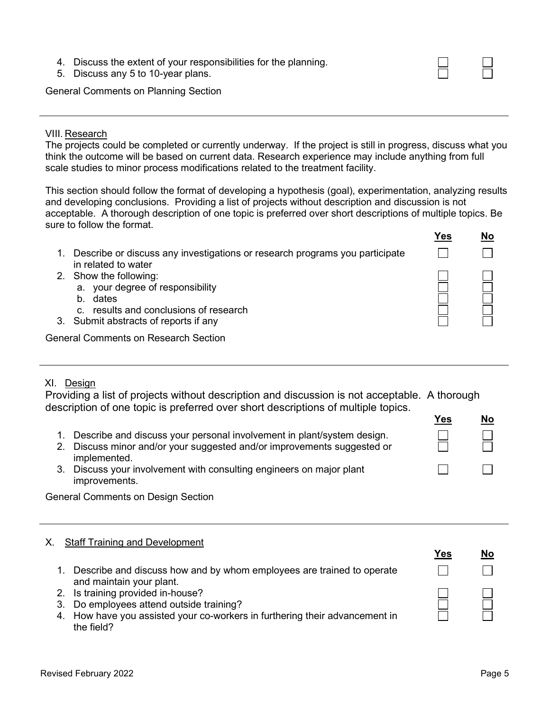|  |  |  | 4. Discuss the extent of your responsibilities for the planning. |
|--|--|--|------------------------------------------------------------------|
|--|--|--|------------------------------------------------------------------|

5. Discuss any 5 to 10-year plans.

General Comments on Planning Section

#### VIII. Research

The projects could be completed or currently underway. If the project is still in progress, discuss what you think the outcome will be based on current data. Research experience may include anything from full scale studies to minor process modifications related to the treatment facility.

This section should follow the format of developing a hypothesis (goal), experimentation, analyzing results and developing conclusions. Providing a list of projects without description and discussion is not acceptable. A thorough description of one topic is preferred over short descriptions of multiple topics. Be sure to follow the format.

|                                                                                                                                                              |                                                                             | Yes | No |
|--------------------------------------------------------------------------------------------------------------------------------------------------------------|-----------------------------------------------------------------------------|-----|----|
| in related to water                                                                                                                                          | Describe or discuss any investigations or research programs you participate |     |    |
| 2. Show the following:<br>a. your degree of responsibility<br>b. dates<br>c. results and conclusions of research<br>Submit abstracts of reports if any<br>3. |                                                                             |     |    |
| <b>General Comments on Research Section</b>                                                                                                                  |                                                                             |     |    |

# XI. Design

Providing a list of projects without description and discussion is not acceptable. A thorough description of one topic is preferred over short descriptions of multiple topics.

|                                                                           | - פ | IV |
|---------------------------------------------------------------------------|-----|----|
| 1. Describe and discuss your personal involvement in plant/system design. |     |    |
| Discuss minor and/or your suggested and/or improvements suggested or      |     |    |
| implemented.                                                              |     |    |
| Discuss your involvement with consulting engineers on major plant         |     |    |
| improvements.                                                             |     |    |

General Comments on Design Section

# X. Staff Training and Development

- 1. Describe and discuss how and by whom employees are trained to operate and maintain your plant.
- 2. Is training provided in-house?
- 3. Do employees attend outside training?
- 4. How have you assisted your co-workers in furthering their advancement in the field?

Voe No

<u>Yes No</u>

 $\Box$